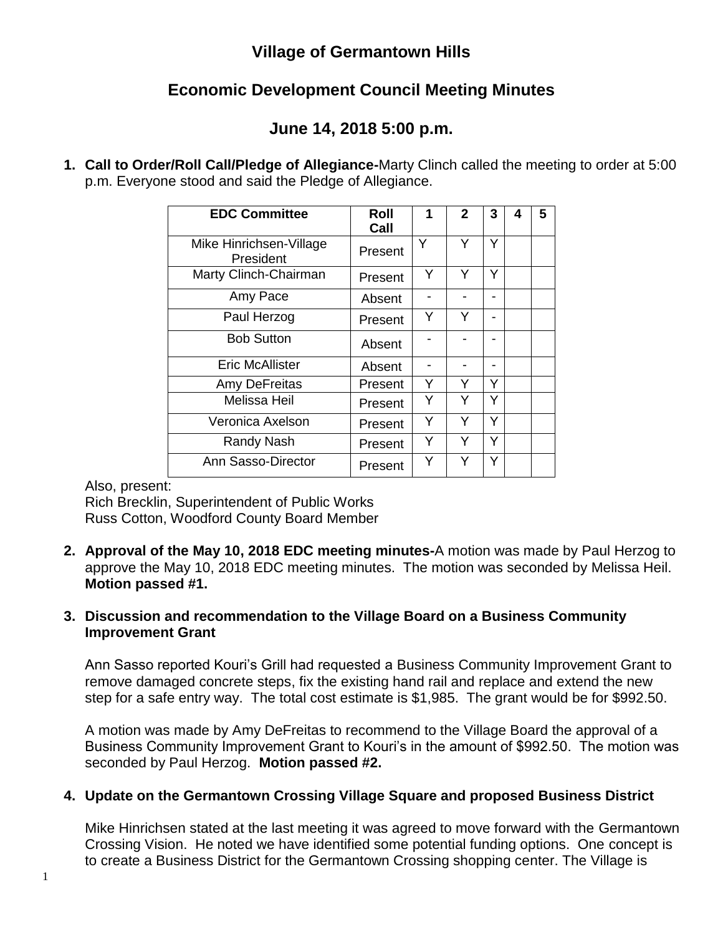## **Village of Germantown Hills**

# **Economic Development Council Meeting Minutes**

## **June 14, 2018 5:00 p.m.**

**1. Call to Order/Roll Call/Pledge of Allegiance-**Marty Clinch called the meeting to order at 5:00 p.m. Everyone stood and said the Pledge of Allegiance.

| <b>EDC Committee</b>                 | Roll<br>Call | 1 | $\mathbf{2}$ | 3 | 4 | 5 |
|--------------------------------------|--------------|---|--------------|---|---|---|
| Mike Hinrichsen-Village<br>President | Present      | Y | Υ            | Y |   |   |
| Marty Clinch-Chairman                | Present      | Y | Y            | Y |   |   |
| Amy Pace                             | Absent       |   |              |   |   |   |
| Paul Herzog                          | Present      | Y | Y            |   |   |   |
| <b>Bob Sutton</b>                    | Absent       |   |              |   |   |   |
| <b>Eric McAllister</b>               | Absent       |   |              |   |   |   |
| Amy DeFreitas                        | Present      | Y | Y            | v |   |   |
| Melissa Heil                         | Present      | Y | Y            | Y |   |   |
| Veronica Axelson                     | Present      | Y | Y            | Y |   |   |
| Randy Nash                           | Present      | Y | Y            | Y |   |   |
| Ann Sasso-Director                   | Present      | Y | Y            | Y |   |   |

Also, present:

Rich Brecklin, Superintendent of Public Works Russ Cotton, Woodford County Board Member

**2. Approval of the May 10, 2018 EDC meeting minutes-**A motion was made by Paul Herzog to approve the May 10, 2018 EDC meeting minutes. The motion was seconded by Melissa Heil. **Motion passed #1.**

#### **3. Discussion and recommendation to the Village Board on a Business Community Improvement Grant**

Ann Sasso reported Kouri's Grill had requested a Business Community Improvement Grant to remove damaged concrete steps, fix the existing hand rail and replace and extend the new step for a safe entry way. The total cost estimate is \$1,985. The grant would be for \$992.50.

A motion was made by Amy DeFreitas to recommend to the Village Board the approval of a Business Community Improvement Grant to Kouri's in the amount of \$992.50. The motion was seconded by Paul Herzog. **Motion passed #2.**

## **4. Update on the Germantown Crossing Village Square and proposed Business District**

Mike Hinrichsen stated at the last meeting it was agreed to move forward with the Germantown Crossing Vision. He noted we have identified some potential funding options. One concept is to create a Business District for the Germantown Crossing shopping center. The Village is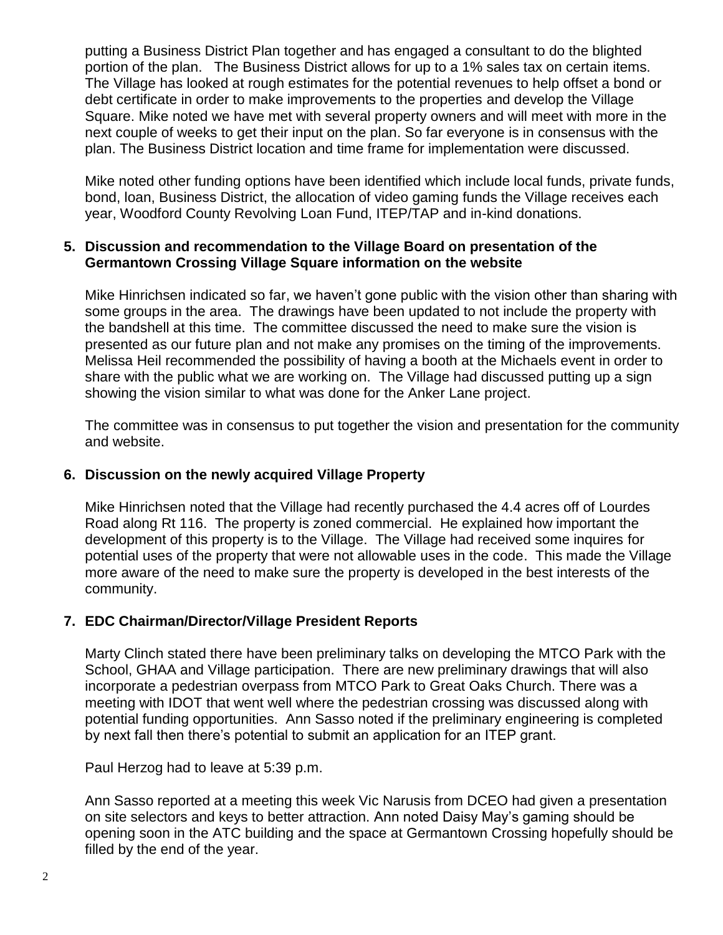putting a Business District Plan together and has engaged a consultant to do the blighted portion of the plan. The Business District allows for up to a 1% sales tax on certain items. The Village has looked at rough estimates for the potential revenues to help offset a bond or debt certificate in order to make improvements to the properties and develop the Village Square. Mike noted we have met with several property owners and will meet with more in the next couple of weeks to get their input on the plan. So far everyone is in consensus with the plan. The Business District location and time frame for implementation were discussed.

Mike noted other funding options have been identified which include local funds, private funds, bond, loan, Business District, the allocation of video gaming funds the Village receives each year, Woodford County Revolving Loan Fund, ITEP/TAP and in-kind donations.

### **5. Discussion and recommendation to the Village Board on presentation of the Germantown Crossing Village Square information on the website**

Mike Hinrichsen indicated so far, we haven't gone public with the vision other than sharing with some groups in the area. The drawings have been updated to not include the property with the bandshell at this time. The committee discussed the need to make sure the vision is presented as our future plan and not make any promises on the timing of the improvements. Melissa Heil recommended the possibility of having a booth at the Michaels event in order to share with the public what we are working on. The Village had discussed putting up a sign showing the vision similar to what was done for the Anker Lane project.

The committee was in consensus to put together the vision and presentation for the community and website.

## **6. Discussion on the newly acquired Village Property**

Mike Hinrichsen noted that the Village had recently purchased the 4.4 acres off of Lourdes Road along Rt 116. The property is zoned commercial. He explained how important the development of this property is to the Village. The Village had received some inquires for potential uses of the property that were not allowable uses in the code. This made the Village more aware of the need to make sure the property is developed in the best interests of the community.

## **7. EDC Chairman/Director/Village President Reports**

Marty Clinch stated there have been preliminary talks on developing the MTCO Park with the School, GHAA and Village participation. There are new preliminary drawings that will also incorporate a pedestrian overpass from MTCO Park to Great Oaks Church. There was a meeting with IDOT that went well where the pedestrian crossing was discussed along with potential funding opportunities. Ann Sasso noted if the preliminary engineering is completed by next fall then there's potential to submit an application for an ITEP grant.

Paul Herzog had to leave at 5:39 p.m.

Ann Sasso reported at a meeting this week Vic Narusis from DCEO had given a presentation on site selectors and keys to better attraction. Ann noted Daisy May's gaming should be opening soon in the ATC building and the space at Germantown Crossing hopefully should be filled by the end of the year.